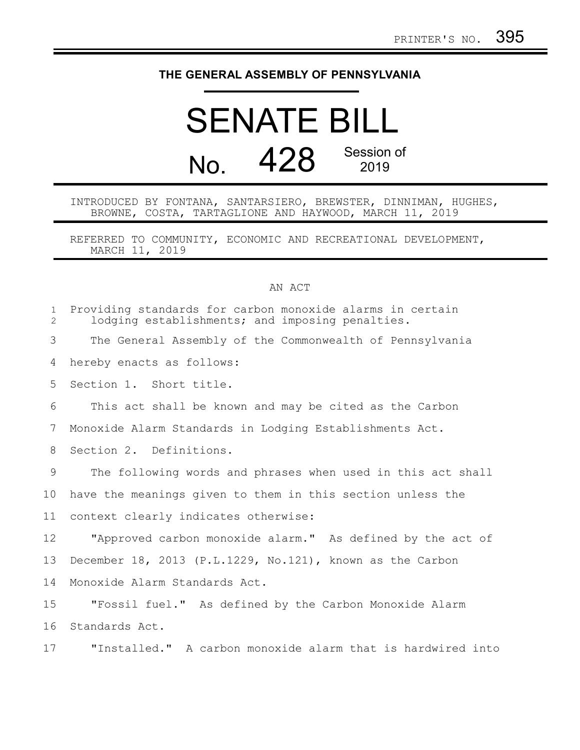## **THE GENERAL ASSEMBLY OF PENNSYLVANIA**

## SENATE BILL No. 428 Session of 2019

## INTRODUCED BY FONTANA, SANTARSIERO, BREWSTER, DINNIMAN, HUGHES, BROWNE, COSTA, TARTAGLIONE AND HAYWOOD, MARCH 11, 2019

REFERRED TO COMMUNITY, ECONOMIC AND RECREATIONAL DEVELOPMENT, MARCH 11, 2019

## AN ACT

| $\mathbf{1}$<br>2 | Providing standards for carbon monoxide alarms in certain<br>lodging establishments; and imposing penalties. |
|-------------------|--------------------------------------------------------------------------------------------------------------|
| 3                 | The General Assembly of the Commonwealth of Pennsylvania                                                     |
| 4                 | hereby enacts as follows:                                                                                    |
| 5                 | Section 1. Short title.                                                                                      |
| 6                 | This act shall be known and may be cited as the Carbon                                                       |
| 7                 | Monoxide Alarm Standards in Lodging Establishments Act.                                                      |
| 8                 | Section 2. Definitions.                                                                                      |
| 9                 | The following words and phrases when used in this act shall                                                  |
| 10                | have the meanings given to them in this section unless the                                                   |
| 11                | context clearly indicates otherwise:                                                                         |
| 12                | "Approved carbon monoxide alarm." As defined by the act of                                                   |
| 13                | December 18, 2013 (P.L.1229, No.121), known as the Carbon                                                    |
| 14                | Monoxide Alarm Standards Act.                                                                                |
| 15                | "Fossil fuel." As defined by the Carbon Monoxide Alarm                                                       |
| 16                | Standards Act.                                                                                               |
| 17                | "Installed." A carbon monoxide alarm that is hardwired into                                                  |
|                   |                                                                                                              |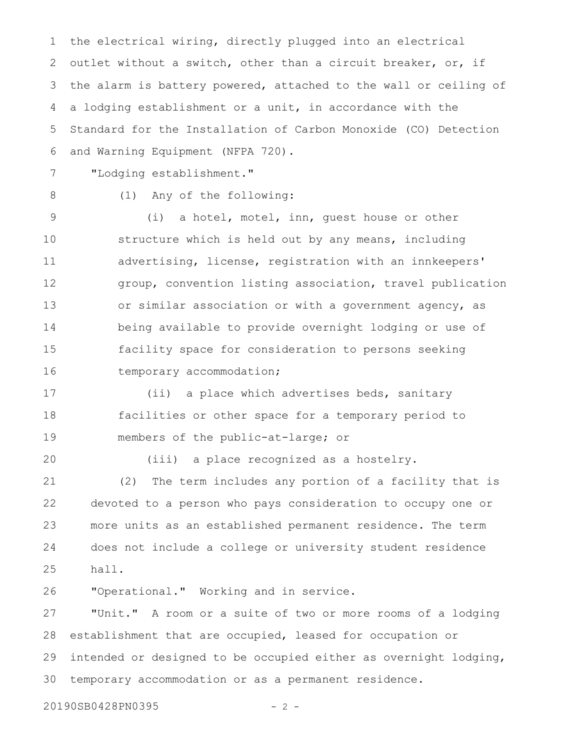the electrical wiring, directly plugged into an electrical outlet without a switch, other than a circuit breaker, or, if the alarm is battery powered, attached to the wall or ceiling of a lodging establishment or a unit, in accordance with the Standard for the Installation of Carbon Monoxide (CO) Detection and Warning Equipment (NFPA 720). 1 2 3 4 5 6

7

"Lodging establishment."

8

(1) Any of the following:

(i) a hotel, motel, inn, guest house or other structure which is held out by any means, including advertising, license, registration with an innkeepers' group, convention listing association, travel publication or similar association or with a government agency, as being available to provide overnight lodging or use of facility space for consideration to persons seeking temporary accommodation; 9 10 11 12 13 14 15 16

(ii) a place which advertises beds, sanitary facilities or other space for a temporary period to members of the public-at-large; or 17 18 19

20

(iii) a place recognized as a hostelry.

(2) The term includes any portion of a facility that is devoted to a person who pays consideration to occupy one or more units as an established permanent residence. The term does not include a college or university student residence hall. 21 22 23 24 25

"Operational." Working and in service. 26

"Unit." A room or a suite of two or more rooms of a lodging establishment that are occupied, leased for occupation or intended or designed to be occupied either as overnight lodging, temporary accommodation or as a permanent residence. 27 28 29 30

20190SB0428PN0395 - 2 -